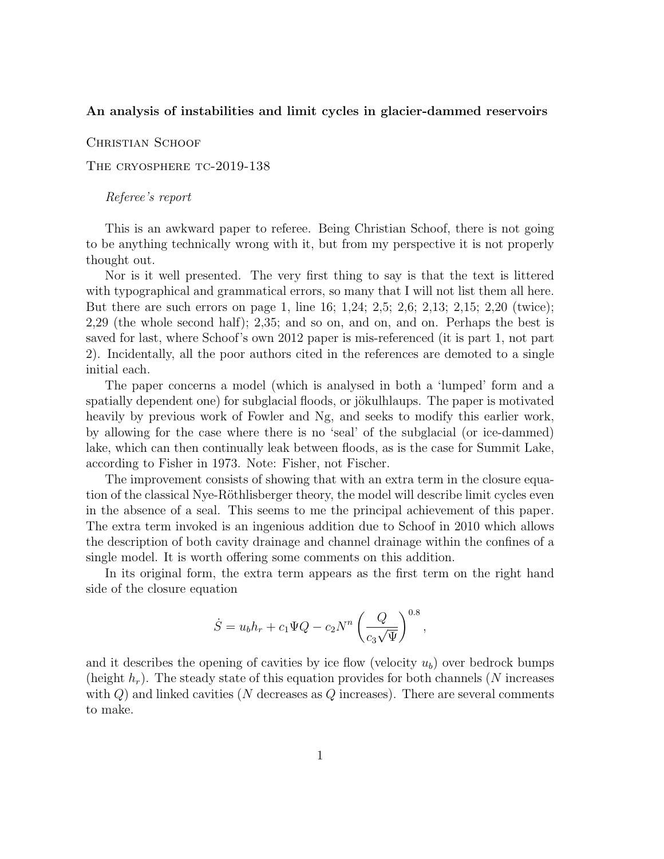## An analysis of instabilities and limit cycles in glacier-dammed reservoirs

CHRISTIAN SCHOOF

THE CRYOSPHERE TC-2019-138

## Referee's report

This is an awkward paper to referee. Being Christian Schoof, there is not going to be anything technically wrong with it, but from my perspective it is not properly thought out.

Nor is it well presented. The very first thing to say is that the text is littered with typographical and grammatical errors, so many that I will not list them all here. But there are such errors on page 1, line 16; 1,24; 2,5; 2,6; 2,13; 2,15; 2,20 (twice); 2,29 (the whole second half); 2,35; and so on, and on, and on. Perhaps the best is saved for last, where Schoof's own 2012 paper is mis-referenced (it is part 1, not part 2). Incidentally, all the poor authors cited in the references are demoted to a single initial each.

The paper concerns a model (which is analysed in both a 'lumped' form and a spatially dependent one) for subglacial floods, or jökulhlaups. The paper is motivated heavily by previous work of Fowler and Ng, and seeks to modify this earlier work, by allowing for the case where there is no 'seal' of the subglacial (or ice-dammed) lake, which can then continually leak between floods, as is the case for Summit Lake, according to Fisher in 1973. Note: Fisher, not Fischer.

The improvement consists of showing that with an extra term in the closure equation of the classical Nye-Röthlisberger theory, the model will describe limit cycles even in the absence of a seal. This seems to me the principal achievement of this paper. The extra term invoked is an ingenious addition due to Schoof in 2010 which allows the description of both cavity drainage and channel drainage within the confines of a single model. It is worth offering some comments on this addition.

In its original form, the extra term appears as the first term on the right hand side of the closure equation

$$
\dot{S} = u_b h_r + c_1 \Psi Q - c_2 N^n \left(\frac{Q}{c_3 \sqrt{\Psi}}\right)^{0.8},
$$

and it describes the opening of cavities by ice flow (velocity  $u<sub>b</sub>$ ) over bedrock bumps (height  $h_r$ ). The steady state of this equation provides for both channels (N increases with  $Q$ ) and linked cavities (N decreases as  $Q$  increases). There are several comments to make.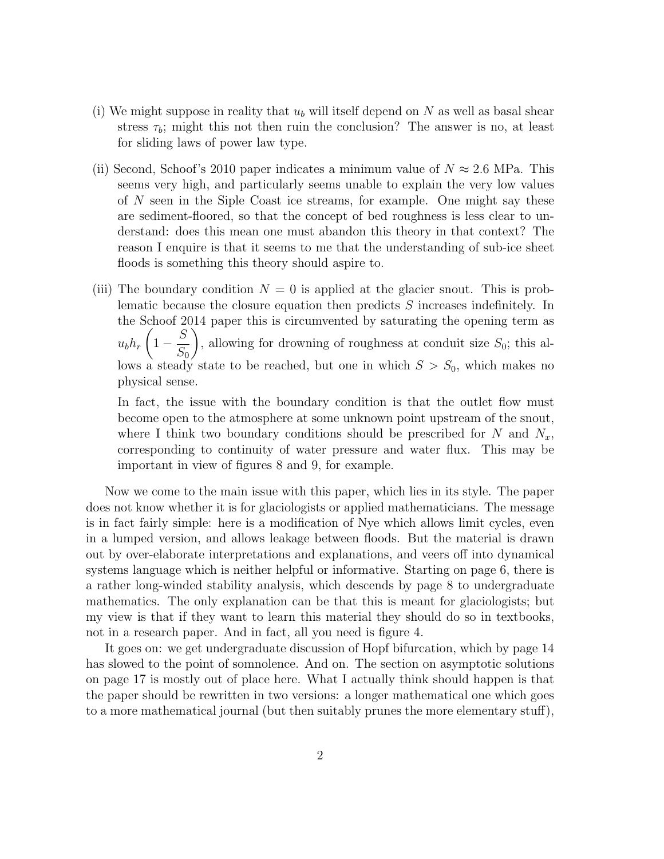- (i) We might suppose in reality that  $u<sub>b</sub>$  will itself depend on N as well as basal shear stress  $\tau_b$ ; might this not then ruin the conclusion? The answer is no, at least for sliding laws of power law type.
- (ii) Second, Schoof's 2010 paper indicates a minimum value of  $N \approx 2.6$  MPa. This seems very high, and particularly seems unable to explain the very low values of N seen in the Siple Coast ice streams, for example. One might say these are sediment-floored, so that the concept of bed roughness is less clear to understand: does this mean one must abandon this theory in that context? The reason I enquire is that it seems to me that the understanding of sub-ice sheet floods is something this theory should aspire to.
- (iii) The boundary condition  $N = 0$  is applied at the glacier snout. This is problematic because the closure equation then predicts S increases indefinitely. In the Schoof 2014 paper this is circumvented by saturating the opening term as  $u_b h_r$  $\sqrt{ }$  $1-\frac{S}{\alpha}$  $S_0$  $\setminus$ , allowing for drowning of roughness at conduit size  $S_0$ ; this allows a steady state to be reached, but one in which  $S > S_0$ , which makes no physical sense.

In fact, the issue with the boundary condition is that the outlet flow must become open to the atmosphere at some unknown point upstream of the snout, where I think two boundary conditions should be prescribed for  $N$  and  $N_x$ , corresponding to continuity of water pressure and water flux. This may be important in view of figures 8 and 9, for example.

Now we come to the main issue with this paper, which lies in its style. The paper does not know whether it is for glaciologists or applied mathematicians. The message is in fact fairly simple: here is a modification of Nye which allows limit cycles, even in a lumped version, and allows leakage between floods. But the material is drawn out by over-elaborate interpretations and explanations, and veers off into dynamical systems language which is neither helpful or informative. Starting on page 6, there is a rather long-winded stability analysis, which descends by page 8 to undergraduate mathematics. The only explanation can be that this is meant for glaciologists; but my view is that if they want to learn this material they should do so in textbooks, not in a research paper. And in fact, all you need is figure 4.

It goes on: we get undergraduate discussion of Hopf bifurcation, which by page 14 has slowed to the point of somnolence. And on. The section on asymptotic solutions on page 17 is mostly out of place here. What I actually think should happen is that the paper should be rewritten in two versions: a longer mathematical one which goes to a more mathematical journal (but then suitably prunes the more elementary stuff),